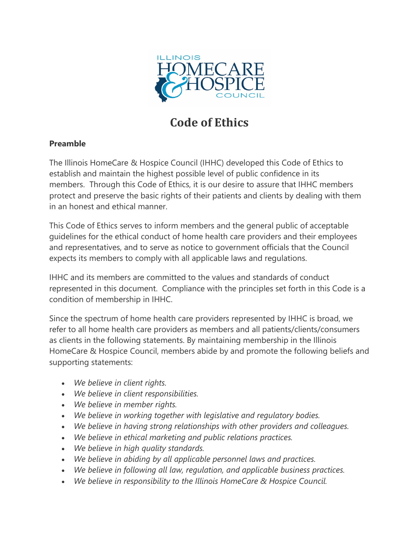

# **Code of Ethics**

## **Preamble**

The Illinois HomeCare & Hospice Council (IHHC) developed this Code of Ethics to establish and maintain the highest possible level of public confidence in its members. Through this Code of Ethics, it is our desire to assure that IHHC members protect and preserve the basic rights of their patients and clients by dealing with them in an honest and ethical manner.

This Code of Ethics serves to inform members and the general public of acceptable guidelines for the ethical conduct of home health care providers and their employees and representatives, and to serve as notice to government officials that the Council expects its members to comply with all applicable laws and regulations.

IHHC and its members are committed to the values and standards of conduct represented in this document. Compliance with the principles set forth in this Code is a condition of membership in IHHC.

Since the spectrum of home health care providers represented by IHHC is broad, we refer to all home health care providers as members and all patients/clients/consumers as clients in the following statements. By maintaining membership in the Illinois HomeCare & Hospice Council, members abide by and promote the following beliefs and supporting statements:

- *We believe in client rights.*
- *We believe in client responsibilities.*
- *We believe in member rights.*
- *We believe in working together with legislative and regulatory bodies.*
- *We believe in having strong relationships with other providers and colleagues.*
- *We believe in ethical marketing and public relations practices.*
- *We believe in high quality standards.*
- *We believe in abiding by all applicable personnel laws and practices.*
- *We believe in following all law, regulation, and applicable business practices.*
- *We believe in responsibility to the Illinois HomeCare & Hospice Council.*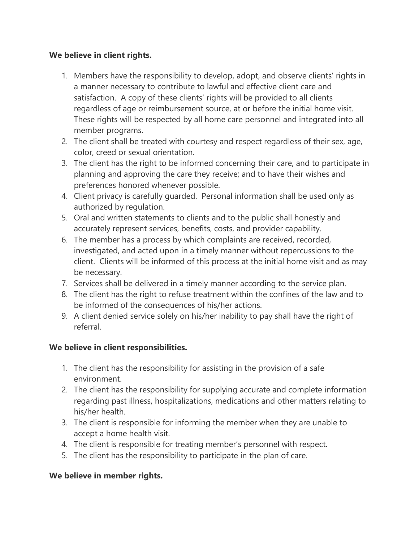### **We believe in client rights.**

- 1. Members have the responsibility to develop, adopt, and observe clients' rights in a manner necessary to contribute to lawful and effective client care and satisfaction. A copy of these clients' rights will be provided to all clients regardless of age or reimbursement source, at or before the initial home visit. These rights will be respected by all home care personnel and integrated into all member programs.
- 2. The client shall be treated with courtesy and respect regardless of their sex, age, color, creed or sexual orientation.
- 3. The client has the right to be informed concerning their care, and to participate in planning and approving the care they receive; and to have their wishes and preferences honored whenever possible.
- 4. Client privacy is carefully guarded. Personal information shall be used only as authorized by regulation.
- 5. Oral and written statements to clients and to the public shall honestly and accurately represent services, benefits, costs, and provider capability.
- 6. The member has a process by which complaints are received, recorded, investigated, and acted upon in a timely manner without repercussions to the client. Clients will be informed of this process at the initial home visit and as may be necessary.
- 7. Services shall be delivered in a timely manner according to the service plan.
- 8. The client has the right to refuse treatment within the confines of the law and to be informed of the consequences of his/her actions.
- 9. A client denied service solely on his/her inability to pay shall have the right of referral.

## **We believe in client responsibilities.**

- 1. The client has the responsibility for assisting in the provision of a safe environment.
- 2. The client has the responsibility for supplying accurate and complete information regarding past illness, hospitalizations, medications and other matters relating to his/her health.
- 3. The client is responsible for informing the member when they are unable to accept a home health visit.
- 4. The client is responsible for treating member's personnel with respect.
- 5. The client has the responsibility to participate in the plan of care.

## **We believe in member rights.**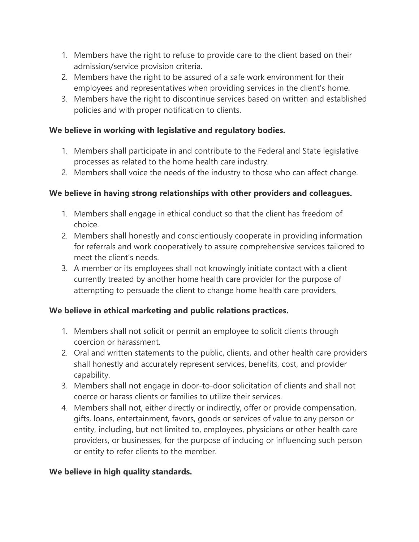- 1. Members have the right to refuse to provide care to the client based on their admission/service provision criteria.
- 2. Members have the right to be assured of a safe work environment for their employees and representatives when providing services in the client's home.
- 3. Members have the right to discontinue services based on written and established policies and with proper notification to clients.

## **We believe in working with legislative and regulatory bodies.**

- 1. Members shall participate in and contribute to the Federal and State legislative processes as related to the home health care industry.
- 2. Members shall voice the needs of the industry to those who can affect change.

#### **We believe in having strong relationships with other providers and colleagues.**

- 1. Members shall engage in ethical conduct so that the client has freedom of choice.
- 2. Members shall honestly and conscientiously cooperate in providing information for referrals and work cooperatively to assure comprehensive services tailored to meet the client's needs.
- 3. A member or its employees shall not knowingly initiate contact with a client currently treated by another home health care provider for the purpose of attempting to persuade the client to change home health care providers.

## **We believe in ethical marketing and public relations practices.**

- 1. Members shall not solicit or permit an employee to solicit clients through coercion or harassment.
- 2. Oral and written statements to the public, clients, and other health care providers shall honestly and accurately represent services, benefits, cost, and provider capability.
- 3. Members shall not engage in door-to-door solicitation of clients and shall not coerce or harass clients or families to utilize their services.
- 4. Members shall not, either directly or indirectly, offer or provide compensation, gifts, loans, entertainment, favors, goods or services of value to any person or entity, including, but not limited to, employees, physicians or other health care providers, or businesses, for the purpose of inducing or influencing such person or entity to refer clients to the member.

#### **We believe in high quality standards.**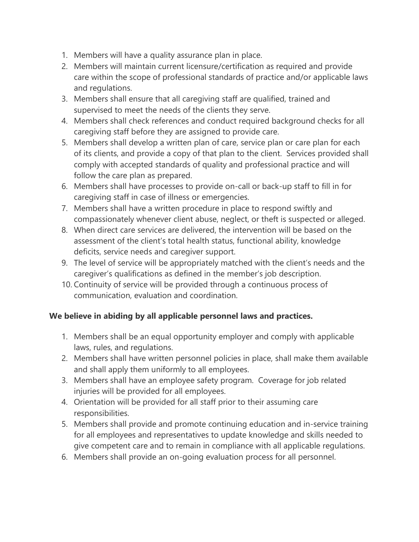- 1. Members will have a quality assurance plan in place.
- 2. Members will maintain current licensure/certification as required and provide care within the scope of professional standards of practice and/or applicable laws and regulations.
- 3. Members shall ensure that all caregiving staff are qualified, trained and supervised to meet the needs of the clients they serve.
- 4. Members shall check references and conduct required background checks for all caregiving staff before they are assigned to provide care.
- 5. Members shall develop a written plan of care, service plan or care plan for each of its clients, and provide a copy of that plan to the client. Services provided shall comply with accepted standards of quality and professional practice and will follow the care plan as prepared.
- 6. Members shall have processes to provide on-call or back-up staff to fill in for caregiving staff in case of illness or emergencies.
- 7. Members shall have a written procedure in place to respond swiftly and compassionately whenever client abuse, neglect, or theft is suspected or alleged.
- 8. When direct care services are delivered, the intervention will be based on the assessment of the client's total health status, functional ability, knowledge deficits, service needs and caregiver support.
- 9. The level of service will be appropriately matched with the client's needs and the caregiver's qualifications as defined in the member's job description.
- 10. Continuity of service will be provided through a continuous process of communication, evaluation and coordination.

## **We believe in abiding by all applicable personnel laws and practices.**

- 1. Members shall be an equal opportunity employer and comply with applicable laws, rules, and regulations.
- 2. Members shall have written personnel policies in place, shall make them available and shall apply them uniformly to all employees.
- 3. Members shall have an employee safety program. Coverage for job related injuries will be provided for all employees.
- 4. Orientation will be provided for all staff prior to their assuming care responsibilities.
- 5. Members shall provide and promote continuing education and in-service training for all employees and representatives to update knowledge and skills needed to give competent care and to remain in compliance with all applicable regulations.
- 6. Members shall provide an on-going evaluation process for all personnel.